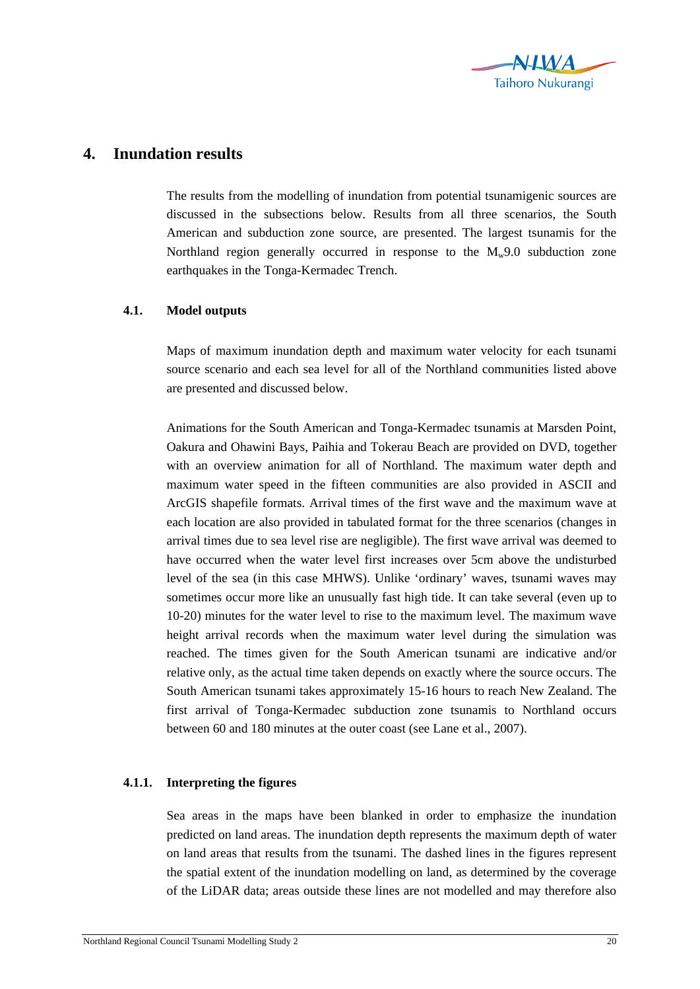

## **4. Inundation results**

The results from the modelling of inundation from potential tsunamigenic sources are discussed in the subsections below. Results from all three scenarios, the South American and subduction zone source, are presented. The largest tsunamis for the Northland region generally occurred in response to the  $M_w9.0$  subduction zone earthquakes in the Tonga-Kermadec Trench.

## **4.1. Model outputs**

Maps of maximum inundation depth and maximum water velocity for each tsunami source scenario and each sea level for all of the Northland communities listed above are presented and discussed below.

Animations for the South American and Tonga-Kermadec tsunamis at Marsden Point, Oakura and Ohawini Bays, Paihia and Tokerau Beach are provided on DVD, together with an overview animation for all of Northland. The maximum water depth and maximum water speed in the fifteen communities are also provided in ASCII and ArcGIS shapefile formats. Arrival times of the first wave and the maximum wave at each location are also provided in tabulated format for the three scenarios (changes in arrival times due to sea level rise are negligible). The first wave arrival was deemed to have occurred when the water level first increases over 5cm above the undisturbed level of the sea (in this case MHWS). Unlike 'ordinary' waves, tsunami waves may sometimes occur more like an unusually fast high tide. It can take several (even up to 10-20) minutes for the water level to rise to the maximum level. The maximum wave height arrival records when the maximum water level during the simulation was reached. The times given for the South American tsunami are indicative and/or relative only, as the actual time taken depends on exactly where the source occurs. The South American tsunami takes approximately 15-16 hours to reach New Zealand. The first arrival of Tonga-Kermadec subduction zone tsunamis to Northland occurs between 60 and 180 minutes at the outer coast (see Lane et al., 2007).

## **4.1.1. Interpreting the figures**

Sea areas in the maps have been blanked in order to emphasize the inundation predicted on land areas. The inundation depth represents the maximum depth of water on land areas that results from the tsunami. The dashed lines in the figures represent the spatial extent of the inundation modelling on land, as determined by the coverage of the LiDAR data; areas outside these lines are not modelled and may therefore also